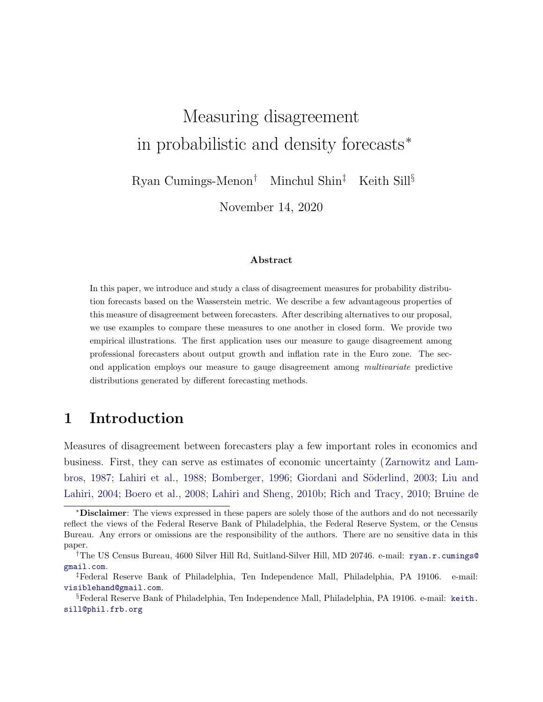# Measuring disagreement in probabilistic and density forecasts<sup>∗</sup>

Ryan Cumings-Menon† Minchul Shin‡ Keith Sill§

November 14, 2020

#### Abstract

In this paper, we introduce and study a class of disagreement measures for probability distribution forecasts based on the Wasserstein metric. We describe a few advantageous properties of this measure of disagreement between forecasters. After describing alternatives to our proposal, we use examples to compare these measures to one another in closed form. We provide two empirical illustrations. The first application uses our measure to gauge disagreement among professional forecasters about output growth and inflation rate in the Euro zone. The second application employs our measure to gauge disagreement among multivariate predictive distributions generated by different forecasting methods.

### 1 Introduction

Measures of disagreement between forecasters play a few important roles in economics and business. First, they can serve as estimates of economic uncertainty ([Zarnowitz and Lam](#page-19-0)[bros](#page-19-0), [1987;](#page-19-0) [Lahiri et al.,](#page-18-0) [1988](#page-18-0); [Bomberger](#page-16-0), [1996](#page-16-0); Giordani and Söderlind, [2003](#page-17-0); [Liu and](#page-18-0) [Lahiri,](#page-18-0) [2004](#page-18-0); [Boero et al.](#page-16-0), [2008;](#page-16-0) [Lahiri and Sheng,](#page-18-0) [2010b;](#page-18-0) [Rich and Tracy,](#page-19-0) [2010;](#page-19-0) [Bruine de](#page-17-0)

[<sup>∗</sup>](#page-17-0)Disclaimer[: The views expressed in these papers are solely those of the authors and do not necessarily](#page-17-0) [reflect the views of the Federal Reserve Bank of Philadelphia, the Federal Reserve System, or the Census](#page-17-0) [Bureau. Any errors or omissions are the responsibility of the authors. There are no sensitive data in this](#page-17-0) [paper.](#page-17-0)

<sup>†</sup>[The US Census Bureau, 4600 Silver Hill Rd, Suitland-Silver Hill, MD 20746. e-mail:](#page-17-0) ryan.r.cumings@ gmail.com.

<sup>‡</sup>Federal Reserve Bank of Philadelphia, Ten Independence Mall, Philadelphia, PA 19106. e-mail: visiblehand@gmail.com.

<sup>§</sup>Federal Reserve Bank of Philadelphia, Ten Independence Mall, Philadelphia, PA 19106. e-mail: keith. sill@phil.frb.org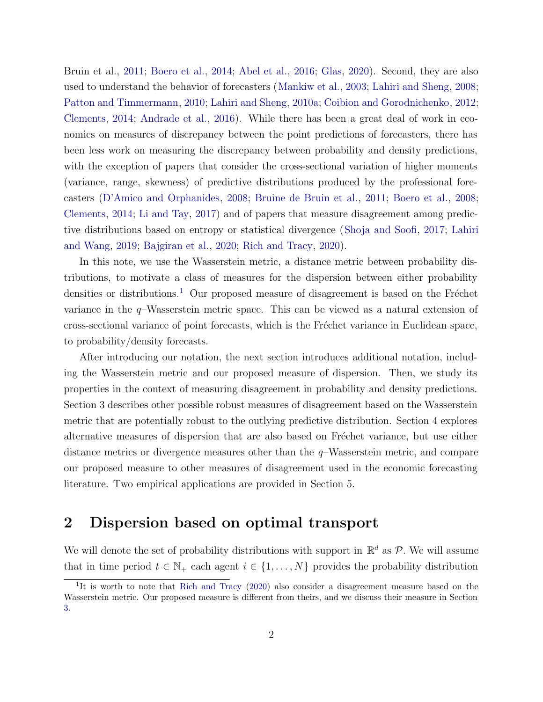Bruin et al., [2011;](#page-17-0) [Boero et al.,](#page-16-0) [2014;](#page-16-0) [Abel et al.](#page-16-0), [2016](#page-16-0); [Glas](#page-17-0), [2020](#page-17-0)). Second, they are also used to understand the behavior of forecasters ([Mankiw et al.](#page-18-0), [2003](#page-18-0); [Lahiri and Sheng,](#page-18-0) [2008;](#page-18-0) [Patton and Timmermann](#page-18-0), [2010](#page-18-0); [Lahiri and Sheng,](#page-18-0) [2010a](#page-18-0); [Coibion and Gorodnichenko](#page-17-0), [2012;](#page-17-0) [Clements](#page-17-0), [2014](#page-17-0); [Andrade et al.,](#page-16-0) [2016\)](#page-16-0). While there has been a great deal of work in economics on measures of discrepancy between the point predictions of forecasters, there has been less work on measuring the discrepancy between probability and density predictions, with the exception of papers that consider the cross-sectional variation of higher moments (variance, range, skewness) of predictive distributions produced by the professional forecasters ([D'Amico and Orphanides](#page-17-0), [2008;](#page-17-0) [Bruine de Bruin et al.,](#page-17-0) [2011](#page-17-0); [Boero et al.](#page-16-0), [2008;](#page-16-0) [Clements](#page-17-0), [2014;](#page-17-0) [Li and Tay](#page-18-0), [2017\)](#page-18-0) and of papers that measure disagreement among predictive distributions based on entropy or statistical divergence ([Shoja and Soofi](#page-19-0), [2017;](#page-19-0) [Lahiri](#page-18-0) [and Wang](#page-18-0), [2019;](#page-18-0) [Bajgiran et al.](#page-16-0), [2020;](#page-16-0) [Rich and Tracy,](#page-19-0) [2020](#page-19-0)).

In this note, we use the Wasserstein metric, a distance metric between probability distributions, to motivate a class of measures for the dispersion between either probability densities or distributions.<sup>1</sup> Our proposed measure of disagreement is based on the Fréchet variance in the  $q$ –Wasserstein metric space. This can be viewed as a natural extension of cross-sectional variance of point forecasts, which is the Fréchet variance in Euclidean space, to probability/density forecasts.

After introducing our notation, the next section introduces additional notation, including the Wasserstein metric and our proposed measure of dispersion. Then, we study its properties in the context of measuring disagreement in probability and density predictions. Section 3 describes other possible robust measures of disagreement based on the Wasserstein metric that are potentially robust to the outlying predictive distribution. Section 4 explores alternative measures of dispersion that are also based on Fréchet variance, but use either distance metrics or divergence measures other than the  $q$ -Wasserstein metric, and compare our proposed measure to other measures of disagreement used in the economic forecasting literature. Two empirical applications are provided in Section 5.

### 2 Dispersion based on optimal transport

We will denote the set of probability distributions with support in  $\mathbb{R}^d$  as  $\mathcal{P}$ . We will assume that in time period  $t \in \mathbb{N}_+$  each agent  $i \in \{1, ..., N\}$  provides the probability distribution

<sup>&</sup>lt;sup>1</sup>It is worth to note that [Rich and Tracy](#page-19-0) [\(2020](#page-19-0)) also consider a disagreement measure based on the Wasserstein metric. Our proposed measure is different from theirs, and we discuss their measure in Section [3.](#page-5-0)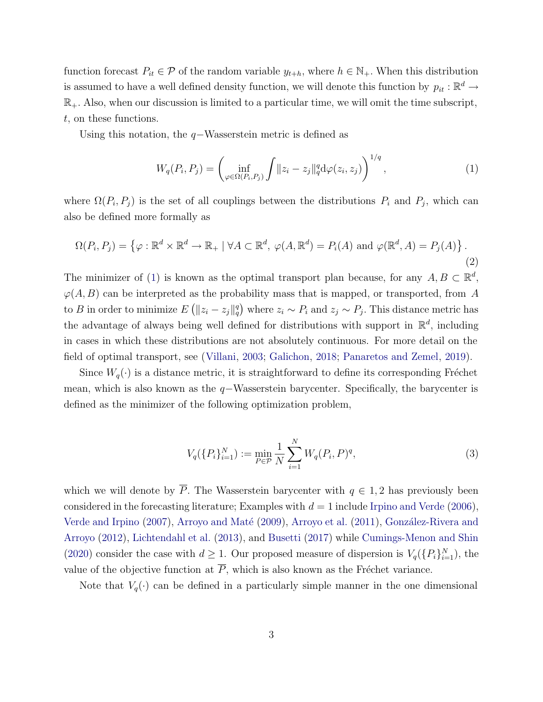<span id="page-2-0"></span>function forecast  $P_{it} \in \mathcal{P}$  of the random variable  $y_{t+h}$ , where  $h \in \mathbb{N}_+$ . When this distribution is assumed to have a well defined density function, we will denote this function by  $p_{it} : \mathbb{R}^d \to$  $\mathbb{R}_+$ . Also, when our discussion is limited to a particular time, we will omit the time subscript, t, on these functions.

Using this notation, the  $q$ −Wasserstein metric is defined as

$$
W_q(P_i, P_j) = \left(\inf_{\varphi \in \Omega(P_i, P_j)} \int \|z_i - z_j\|_q^q \, d\varphi(z_i, z_j) \right)^{1/q},\tag{1}
$$

where  $\Omega(P_i, P_j)$  is the set of all couplings between the distributions  $P_i$  and  $P_j$ , which can also be defined more formally as

$$
\Omega(P_i, P_j) = \left\{ \varphi : \mathbb{R}^d \times \mathbb{R}^d \to \mathbb{R}_+ \mid \forall A \subset \mathbb{R}^d, \ \varphi(A, \mathbb{R}^d) = P_i(A) \text{ and } \varphi(\mathbb{R}^d, A) = P_j(A) \right\}.
$$
\n(2)

The minimizer of (1) is known as the optimal transport plan because, for any  $A, B \subset \mathbb{R}^d$ ,  $\varphi(A, B)$  can be interpreted as the probability mass that is mapped, or transported, from A to B in order to minimize  $E([z_i - z_j]_q^q)$  where  $z_i \sim P_i$  and  $z_j \sim P_j$ . This distance metric has the advantage of always being well defined for distributions with support in  $\mathbb{R}^d$ , including in cases in which these distributions are not absolutely continuous. For more detail on the field of optimal transport, see ([Villani](#page-19-0), [2003;](#page-19-0) [Galichon](#page-17-0), [2018;](#page-17-0) [Panaretos and Zemel,](#page-18-0) [2019](#page-18-0)).

Since  $W_q(\cdot)$  is a distance metric, it is straightforward to define its corresponding Fréchet mean, which is also known as the  $q$ −Wasserstein barycenter. Specifically, the barycenter is defined as the minimizer of the following optimization problem,

$$
V_q(\{P_i\}_{i=1}^N) := \min_{P \in \mathcal{P}} \frac{1}{N} \sum_{i=1}^N W_q(P_i, P)^q, \tag{3}
$$

which we will denote by  $\overline{P}$ . The Wasserstein barycenter with  $q \in 1, 2$  has previously been considered in the forecasting literature; Examples with  $d = 1$  include [Irpino and Verde](#page-17-0) ([2006](#page-17-0)), [Verde and Irpino](#page-19-0) [\(2007](#page-19-0)), Arroyo and Maté [\(2009](#page-16-0)), [Arroyo et al.](#page-16-0) ([2011](#page-16-0)), González-Rivera and [Arroyo](#page-17-0) ([2012](#page-17-0)), [Lichtendahl et al.](#page-18-0) ([2013](#page-18-0)), and [Busetti](#page-17-0) [\(2017\)](#page-17-0) while [Cumings-Menon and Shin](#page-17-0) ([2020\)](#page-17-0) consider the case with  $d \geq 1$ . Our proposed measure of dispersion is  $V_q(\{P_i\}_{i=1}^N)$ , the value of the objective function at  $\overline{P}$ , which is also known as the Fréchet variance.

Note that  $V_q(\cdot)$  can be defined in a particularly simple manner in the one dimensional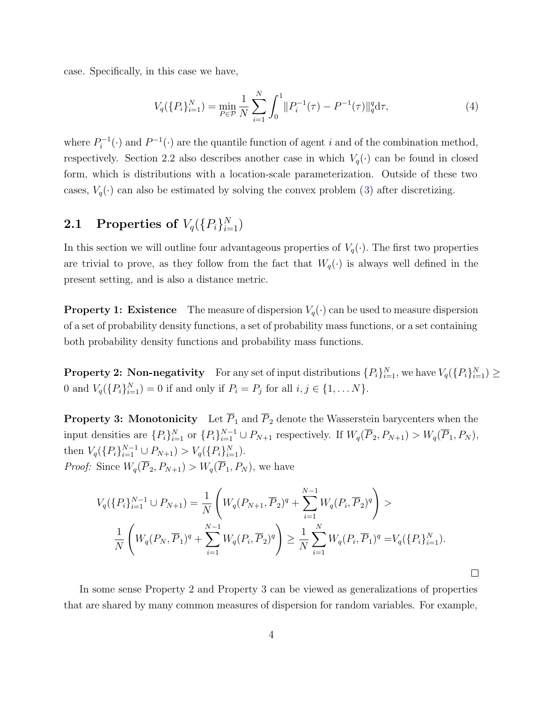case. Specifically, in this case we have,

$$
V_q(\{P_i\}_{i=1}^N) = \min_{P \in \mathcal{P}} \frac{1}{N} \sum_{i=1}^N \int_0^1 ||P_i^{-1}(\tau) - P^{-1}(\tau)||_q^q d\tau,
$$
\n(4)

where  $P_i^{-1}(\cdot)$  and  $P^{-1}(\cdot)$  are the quantile function of agent i and of the combination method, respectively. Section 2.2 also describes another case in which  $V_q(\cdot)$  can be found in closed form, which is distributions with a location-scale parameterization. Outside of these two cases,  $V_q(\cdot)$  can also be estimated by solving the convex problem ([3\)](#page-2-0) after discretizing.

## **2.1** Properties of  $V_q(\{P_i\}_{i=1}^N)$

In this section we will outline four advantageous properties of  $V_q(\cdot)$ . The first two properties are trivial to prove, as they follow from the fact that  $W_q(\cdot)$  is always well defined in the present setting, and is also a distance metric.

**Property 1: Existence** The measure of dispersion  $V_q(\cdot)$  can be used to measure dispersion of a set of probability density functions, a set of probability mass functions, or a set containing both probability density functions and probability mass functions.

**Property 2:** Non-negativity For any set of input distributions  $\{P_i\}_{i=1}^N$ , we have  $V_q(\{P_i\}_{i=1}^N) \geq$ 0 and  $V_q({P_i}_{i=1}^N) = 0$  if and only if  $P_i = P_j$  for all  $i, j \in \{1, ..., N\}$ .

**Property 3: Monotonicity** Let  $\overline{P}_1$  and  $\overline{P}_2$  denote the Wasserstein barycenters when the input densities are  $\{P_i\}_{i=1}^N$  or  $\{P_i\}_{i=1}^{N-1} \cup P_{N+1}$  respectively. If  $W_q(\overline{P}_2, P_{N+1}) > W_q(\overline{P}_1, P_N)$ , then  $V_q(\{P_i\}_{i=1}^{N-1} \cup P_{N+1}) > V_q(\{P_i\}_{i=1}^N)$ . *Proof:* Since  $W_q(\overline{P}_2, P_{N+1}) > W_q(\overline{P}_1, P_N)$ , we have

$$
V_q(\lbrace P_i \rbrace_{i=1}^{N-1} \cup P_{N+1}) = \frac{1}{N} \left( W_q(P_{N+1}, \overline{P}_2)^q + \sum_{i=1}^{N-1} W_q(P_i, \overline{P}_2)^q \right) >
$$
  

$$
\frac{1}{N} \left( W_q(P_N, \overline{P}_1)^q + \sum_{i=1}^{N-1} W_q(P_i, \overline{P}_2)^q \right) \ge \frac{1}{N} \sum_{i=1}^{N} W_q(P_i, \overline{P}_1)^q = V_q(\lbrace P_i \rbrace_{i=1}^{N}).
$$

In some sense Property 2 and Property 3 can be viewed as generalizations of properties that are shared by many common measures of dispersion for random variables. For example,

 $\Box$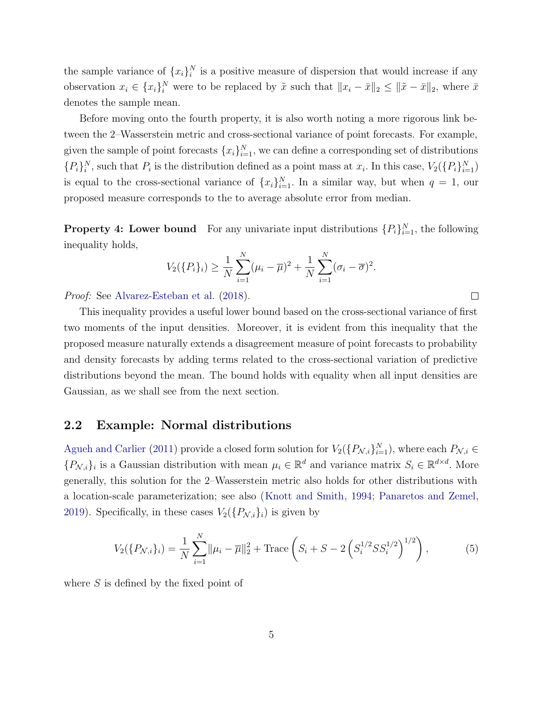the sample variance of  ${x_i}_i^N$  is a positive measure of dispersion that would increase if any observation  $x_i \in \{x_i\}_i^N$  were to be replaced by  $\tilde{x}$  such that  $||x_i - \bar{x}||_2 \le ||\tilde{x} - \bar{x}||_2$ , where  $\bar{x}$ denotes the sample mean.

Before moving onto the fourth property, it is also worth noting a more rigorous link between the 2–Wasserstein metric and cross-sectional variance of point forecasts. For example, given the sample of point forecasts  $\{x_i\}_{i=1}^N$ , we can define a corresponding set of distributions  $\{P_i\}_i^N$ , such that  $P_i$  is the distribution defined as a point mass at  $x_i$ . In this case,  $V_2(\{P_i\}_{i=1}^N)$ is equal to the cross-sectional variance of  $\{x_i\}_{i=1}^N$ . In a similar way, but when  $q = 1$ , our proposed measure corresponds to the to average absolute error from median.

**Property 4: Lower bound** For any univariate input distributions  $\{P_i\}_{i=1}^N$ , the following inequality holds,

$$
V_2(\{P_i\}_i) \ge \frac{1}{N} \sum_{i=1}^N (\mu_i - \overline{\mu})^2 + \frac{1}{N} \sum_{i=1}^N (\sigma_i - \overline{\sigma})^2.
$$

 $\Box$ 

Proof: See [Alvarez-Esteban et al.](#page-16-0) [\(2018\)](#page-16-0).

This inequality provides a useful lower bound based on the cross-sectional variance of first two moments of the input densities. Moreover, it is evident from this inequality that the proposed measure naturally extends a disagreement measure of point forecasts to probability and density forecasts by adding terms related to the cross-sectional variation of predictive distributions beyond the mean. The bound holds with equality when all input densities are Gaussian, as we shall see from the next section.

#### 2.2 Example: Normal distributions

[Agueh and Carlier](#page-16-0) ([2011\)](#page-16-0) provide a closed form solution for  $V_2(\{P_{\mathcal{N},i}\}_{i=1}^N)$ , where each  $P_{\mathcal{N},i} \in$  ${P_{\mathcal{N},i}}_i$  is a Gaussian distribution with mean  $\mu_i \in \mathbb{R}^d$  and variance matrix  $S_i \in \mathbb{R}^{d \times d}$ . More generally, this solution for the 2–Wasserstein metric also holds for other distributions with a location-scale parameterization; see also ([Knott and Smith](#page-17-0), [1994;](#page-17-0) [Panaretos and Zemel,](#page-18-0) [2019](#page-18-0)). Specifically, in these cases  $V_2(\lbrace P_{\mathcal{N},i}\rbrace_i)$  is given by

$$
V_2(\{P_{\mathcal{N},i}\}_i) = \frac{1}{N} \sum_{i=1}^N \|\mu_i - \overline{\mu}\|_2^2 + \text{Trace}\left(S_i + S - 2\left(S_i^{1/2} S S_i^{1/2}\right)^{1/2}\right),\tag{5}
$$

where  $S$  is defined by the fixed point of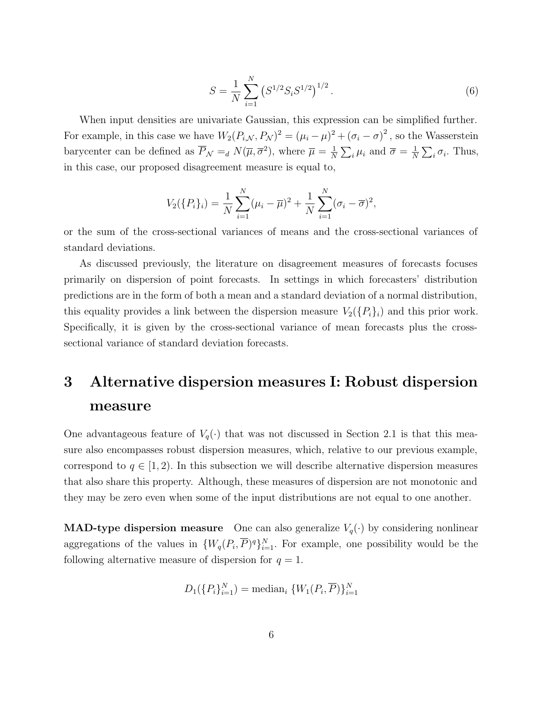$$
S = \frac{1}{N} \sum_{i=1}^{N} \left( S^{1/2} S_i S^{1/2} \right)^{1/2}.
$$
 (6)

<span id="page-5-0"></span>When input densities are univariate Gaussian, this expression can be simplified further. For example, in this case we have  $W_2(P_{i,\mathcal{N}}, P_{\mathcal{N}})^2 = (\mu_i - \mu)^2 + (\sigma_i - \sigma)^2$ , so the Wasserstein barycenter can be defined as  $\overline{P}_{\mathcal{N}} =_d N(\overline{\mu}, \overline{\sigma}^2)$ , where  $\overline{\mu} = \frac{1}{N} \sum_i \mu_i$  and  $\overline{\sigma} = \frac{1}{N} \sum_i \sigma_i$ . Thus, in this case, our proposed disagreement measure is equal to,

$$
V_2(\{P_i\}_i) = \frac{1}{N} \sum_{i=1}^N (\mu_i - \overline{\mu})^2 + \frac{1}{N} \sum_{i=1}^N (\sigma_i - \overline{\sigma})^2,
$$

or the sum of the cross-sectional variances of means and the cross-sectional variances of standard deviations.

As discussed previously, the literature on disagreement measures of forecasts focuses primarily on dispersion of point forecasts. In settings in which forecasters' distribution predictions are in the form of both a mean and a standard deviation of a normal distribution, this equality provides a link between the dispersion measure  $V_2(\lbrace P_i \rbrace_i)$  and this prior work. Specifically, it is given by the cross-sectional variance of mean forecasts plus the crosssectional variance of standard deviation forecasts.

# 3 Alternative dispersion measures I: Robust dispersion measure

One advantageous feature of  $V_q(\cdot)$  that was not discussed in Section 2.1 is that this measure also encompasses robust dispersion measures, which, relative to our previous example, correspond to  $q \in [1, 2)$ . In this subsection we will describe alternative dispersion measures that also share this property. Although, these measures of dispersion are not monotonic and they may be zero even when some of the input distributions are not equal to one another.

**MAD-type dispersion measure** One can also generalize  $V_q(\cdot)$  by considering nonlinear aggregations of the values in  $\{W_q(P_i,\overline{P})^q\}_{i=1}^N$ . For example, one possibility would be the following alternative measure of dispersion for  $q = 1$ .

$$
D_1(\{P_i\}_{i=1}^N) = \text{median}_i \{W_1(P_i, \overline{P})\}_{i=1}^N
$$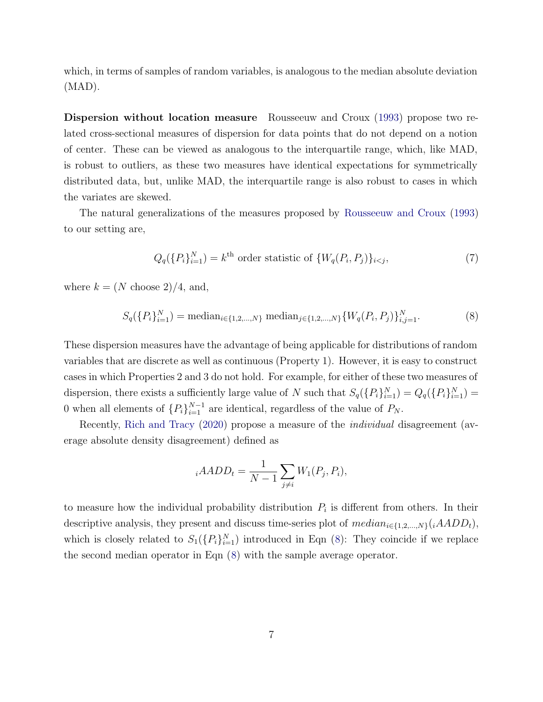which, in terms of samples of random variables, is analogous to the median absolute deviation (MAD).

Dispersion without location measure Rousseeuw and Croux ([1993](#page-19-0)) propose two related cross-sectional measures of dispersion for data points that do not depend on a notion of center. These can be viewed as analogous to the interquartile range, which, like MAD, is robust to outliers, as these two measures have identical expectations for symmetrically distributed data, but, unlike MAD, the interquartile range is also robust to cases in which the variates are skewed.

The natural generalizations of the measures proposed by [Rousseeuw and Croux](#page-19-0) [\(1993](#page-19-0)) to our setting are,

$$
Q_q(\lbrace P_i \rbrace_{i=1}^N) = k^{\text{th}} \text{ order statistic of } \lbrace W_q(P_i, P_j) \rbrace_{i < j},\tag{7}
$$

where  $k = (N \text{ choose } 2)/4$ , and,

$$
S_q(\{P_i\}_{i=1}^N) = \text{median}_{i \in \{1, 2, \dots, N\}} \text{median}_{j \in \{1, 2, \dots, N\}} \{W_q(P_i, P_j)\}_{i, j=1}^N. \tag{8}
$$

These dispersion measures have the advantage of being applicable for distributions of random variables that are discrete as well as continuous (Property 1). However, it is easy to construct cases in which Properties 2 and 3 do not hold. For example, for either of these two measures of dispersion, there exists a sufficiently large value of N such that  $S_q(\{P_i\}_{i=1}^N) = Q_q(\{P_i\}_{i=1}^N)$ 0 when all elements of  $\{P_i\}_{i=1}^{N-1}$  are identical, regardless of the value of  $P_N$ .

Recently, [Rich and Tracy](#page-19-0) ([2020](#page-19-0)) propose a measure of the *individual* disagreement (average absolute density disagreement) defined as

$$
{}_{i}AADD_t = \frac{1}{N-1} \sum_{j \neq i} W_1(P_j, P_i),
$$

to measure how the individual probability distribution  $P_i$  is different from others. In their descriptive analysis, they present and discuss time-series plot of  $median_{i\in\{1,2,\ldots,N\}}(iAADD_t)$ , which is closely related to  $S_1(\{P_i\}_{i=1}^N)$  introduced in Eqn (8): They coincide if we replace the second median operator in Eqn (8) with the sample average operator.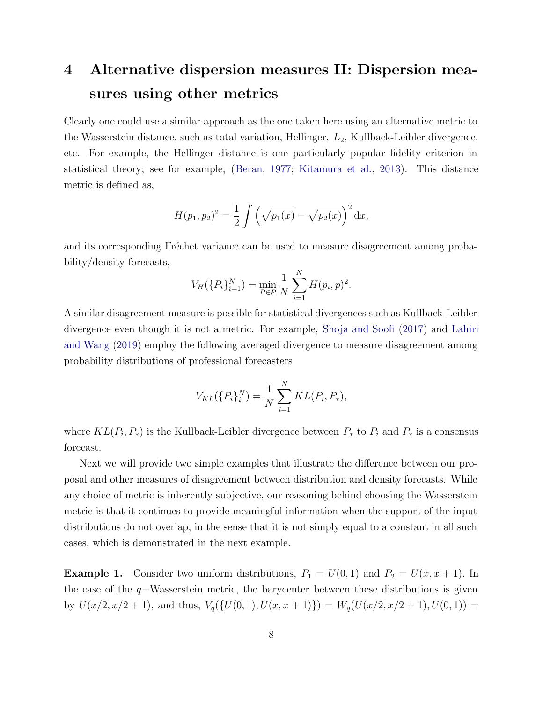# 4 Alternative dispersion measures II: Dispersion measures using other metrics

Clearly one could use a similar approach as the one taken here using an alternative metric to the Wasserstein distance, such as total variation, Hellinger,  $L_2$ , Kullback-Leibler divergence, etc. For example, the Hellinger distance is one particularly popular fidelity criterion in statistical theory; see for example, ([Beran](#page-16-0), [1977](#page-16-0); [Kitamura et al.,](#page-17-0) [2013\)](#page-17-0). This distance metric is defined as,

$$
H(p_1, p_2)^2 = \frac{1}{2} \int \left(\sqrt{p_1(x)} - \sqrt{p_2(x)}\right)^2 dx,
$$

and its corresponding Fréchet variance can be used to measure disagreement among probability/density forecasts,

$$
V_H(\{P_i\}_{i=1}^N) = \min_{P \in \mathcal{P}} \frac{1}{N} \sum_{i=1}^N H(p_i, p)^2.
$$

A similar disagreement measure is possible for statistical divergences such as Kullback-Leibler divergence even though it is not a metric. For example, [Shoja and Soofi](#page-19-0) [\(2017\)](#page-19-0) and [Lahiri](#page-18-0) [and Wang](#page-18-0) ([2019](#page-18-0)) employ the following averaged divergence to measure disagreement among probability distributions of professional forecasters

$$
V_{KL}(\{P_i\}_i^N) = \frac{1}{N} \sum_{i=1}^N KL(P_i, P_*),
$$

where  $KL(P_i, P_*)$  is the Kullback-Leibler divergence between  $P_*$  to  $P_i$  and  $P_*$  is a consensus forecast.

Next we will provide two simple examples that illustrate the difference between our proposal and other measures of disagreement between distribution and density forecasts. While any choice of metric is inherently subjective, our reasoning behind choosing the Wasserstein metric is that it continues to provide meaningful information when the support of the input distributions do not overlap, in the sense that it is not simply equal to a constant in all such cases, which is demonstrated in the next example.

**Example 1.** Consider two uniform distributions,  $P_1 = U(0, 1)$  and  $P_2 = U(x, x + 1)$ . In the case of the q−Wasserstein metric, the barycenter between these distributions is given by  $U(x/2, x/2 + 1)$ , and thus,  $V_q(\{U(0, 1), U(x, x + 1)\}) = W_q(U(x/2, x/2 + 1), U(0, 1)) =$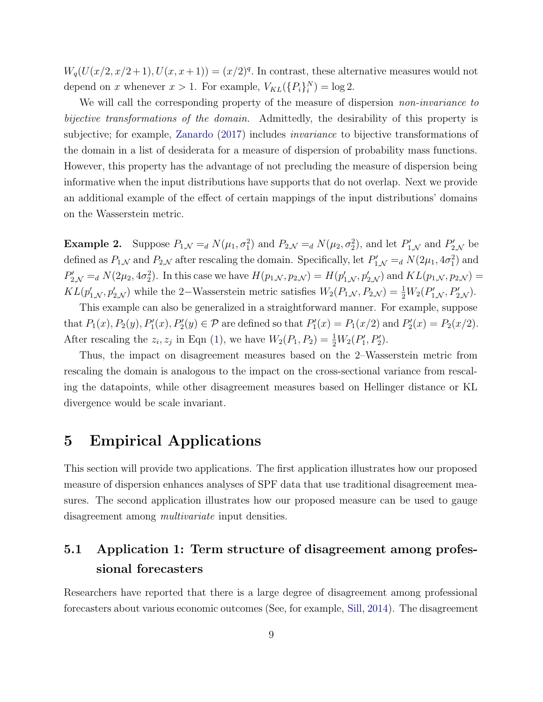$W_q(U(x/2, x/2+1), U(x, x+1)) = (x/2)^q$ . In contrast, these alternative measures would not depend on x whenever  $x > 1$ . For example,  $V_{KL}(\lbrace P_i \rbrace_i^N) = \log 2$ .

We will call the corresponding property of the measure of dispersion *non-invariance to* bijective transformations of the domain. Admittedly, the desirability of this property is subjective; for example, [Zanardo](#page-19-0) [\(2017\)](#page-19-0) includes invariance to bijective transformations of the domain in a list of desiderata for a measure of dispersion of probability mass functions. However, this property has the advantage of not precluding the measure of dispersion being informative when the input distributions have supports that do not overlap. Next we provide an additional example of the effect of certain mappings of the input distributions' domains on the Wasserstein metric.

**Example 2.** Suppose  $P_{1,N} =_d N(\mu_1, \sigma_1^2)$  and  $P_{2,N} =_d N(\mu_2, \sigma_2^2)$ , and let  $P'_{1,N}$  and  $P'_{2,N}$  be defined as  $P_{1,N}$  and  $P_{2,N}$  after rescaling the domain. Specifically, let  $P'_{1,N} =_d N(2\mu_1, 4\sigma_1^2)$  and  $P'_{2,N} =_d N(2\mu_2, 4\sigma_2^2)$ . In this case we have  $H(p_{1,N}, p_{2,N}) = H(p'_{1,N}, p'_{2,N})$  and  $KL(p_{1,N}, p_{2,N}) =$  $KL(p'_{1,N}, p'_{2,N})$  while the 2–Wasserstein metric satisfies  $W_2(P_{1,N}, P_{2,N}) = \frac{1}{2}W_2(P'_{1,N}, P'_{2,N}).$ 

This example can also be generalized in a straightforward manner. For example, suppose that  $P_1(x), P_2(y), P'_1(x), P'_2(y) \in \mathcal{P}$  are defined so that  $P'_1(x) = P_1(x/2)$  and  $P'_2(x) = P_2(x/2)$ . After rescaling the  $z_i, z_j$  in Eqn [\(1](#page-2-0)), we have  $W_2(P_1, P_2) = \frac{1}{2}W_2(P'_1, P'_2)$ .

Thus, the impact on disagreement measures based on the 2–Wasserstein metric from rescaling the domain is analogous to the impact on the cross-sectional variance from rescaling the datapoints, while other disagreement measures based on Hellinger distance or KL divergence would be scale invariant.

### 5 Empirical Applications

This section will provide two applications. The first application illustrates how our proposed measure of dispersion enhances analyses of SPF data that use traditional disagreement measures. The second application illustrates how our proposed measure can be used to gauge disagreement among *multivariate* input densities.

### 5.1 Application 1: Term structure of disagreement among professional forecasters

Researchers have reported that there is a large degree of disagreement among professional forecasters about various economic outcomes (See, for example, [Sill](#page-19-0), [2014\)](#page-19-0). The disagreement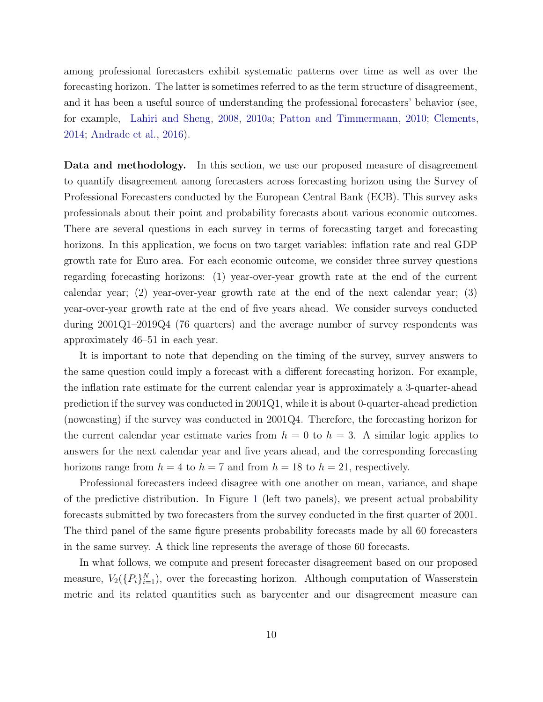among professional forecasters exhibit systematic patterns over time as well as over the forecasting horizon. The latter is sometimes referred to as the term structure of disagreement, and it has been a useful source of understanding the professional forecasters' behavior (see, for example, [Lahiri and Sheng,](#page-18-0) [2008](#page-18-0), [2010a](#page-18-0); [Patton and Timmermann](#page-18-0), [2010](#page-18-0); [Clements,](#page-17-0) [2014](#page-17-0); [Andrade et al.](#page-16-0), [2016\)](#page-16-0).

Data and methodology. In this section, we use our proposed measure of disagreement to quantify disagreement among forecasters across forecasting horizon using the Survey of Professional Forecasters conducted by the European Central Bank (ECB). This survey asks professionals about their point and probability forecasts about various economic outcomes. There are several questions in each survey in terms of forecasting target and forecasting horizons. In this application, we focus on two target variables: inflation rate and real GDP growth rate for Euro area. For each economic outcome, we consider three survey questions regarding forecasting horizons: (1) year-over-year growth rate at the end of the current calendar year; (2) year-over-year growth rate at the end of the next calendar year; (3) year-over-year growth rate at the end of five years ahead. We consider surveys conducted during 2001Q1–2019Q4 (76 quarters) and the average number of survey respondents was approximately 46–51 in each year.

It is important to note that depending on the timing of the survey, survey answers to the same question could imply a forecast with a different forecasting horizon. For example, the inflation rate estimate for the current calendar year is approximately a 3-quarter-ahead prediction if the survey was conducted in 2001Q1, while it is about 0-quarter-ahead prediction (nowcasting) if the survey was conducted in 2001Q4. Therefore, the forecasting horizon for the current calendar year estimate varies from  $h = 0$  to  $h = 3$ . A similar logic applies to answers for the next calendar year and five years ahead, and the corresponding forecasting horizons range from  $h = 4$  to  $h = 7$  and from  $h = 18$  to  $h = 21$ , respectively.

Professional forecasters indeed disagree with one another on mean, variance, and shape of the predictive distribution. In Figure [1](#page-10-0) (left two panels), we present actual probability forecasts submitted by two forecasters from the survey conducted in the first quarter of 2001. The third panel of the same figure presents probability forecasts made by all 60 forecasters in the same survey. A thick line represents the average of those 60 forecasts.

In what follows, we compute and present forecaster disagreement based on our proposed measure,  $V_2(\lbrace P_i \rbrace_{i=1}^N)$ , over the forecasting horizon. Although computation of Wasserstein metric and its related quantities such as barycenter and our disagreement measure can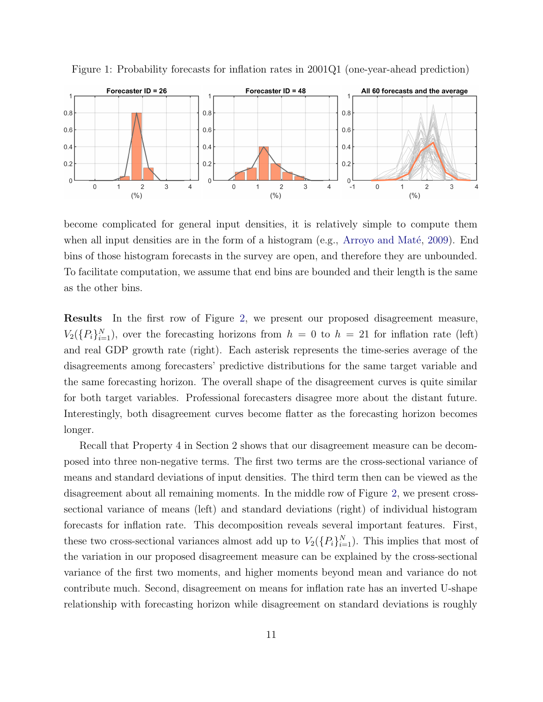

<span id="page-10-0"></span>Figure 1: Probability forecasts for inflation rates in 2001Q1 (one-year-ahead prediction)

become complicated for general input densities, it is relatively simple to compute them when all input densities are in the form of a histogram (e.g., Arroyo and Maté, [2009\)](#page-16-0). End bins of those histogram forecasts in the survey are open, and therefore they are unbounded. To facilitate computation, we assume that end bins are bounded and their length is the same as the other bins.

Results In the first row of Figure [2](#page-11-0), we present our proposed disagreement measure,  $V_2({P_i}_{i=1}^N)$ , over the forecasting horizons from  $h = 0$  to  $h = 21$  for inflation rate (left) and real GDP growth rate (right). Each asterisk represents the time-series average of the disagreements among forecasters' predictive distributions for the same target variable and the same forecasting horizon. The overall shape of the disagreement curves is quite similar for both target variables. Professional forecasters disagree more about the distant future. Interestingly, both disagreement curves become flatter as the forecasting horizon becomes longer.

Recall that Property 4 in Section 2 shows that our disagreement measure can be decomposed into three non-negative terms. The first two terms are the cross-sectional variance of means and standard deviations of input densities. The third term then can be viewed as the disagreement about all remaining moments. In the middle row of Figure [2,](#page-11-0) we present crosssectional variance of means (left) and standard deviations (right) of individual histogram forecasts for inflation rate. This decomposition reveals several important features. First, these two cross-sectional variances almost add up to  $V_2(\lbrace P_i \rbrace_{i=1}^N)$ . This implies that most of the variation in our proposed disagreement measure can be explained by the cross-sectional variance of the first two moments, and higher moments beyond mean and variance do not contribute much. Second, disagreement on means for inflation rate has an inverted U-shape relationship with forecasting horizon while disagreement on standard deviations is roughly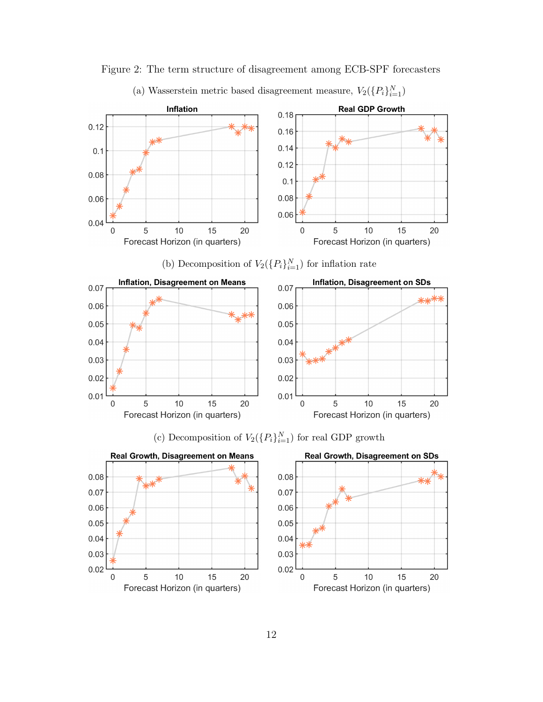

<span id="page-11-0"></span>Figure 2: The term structure of disagreement among ECB-SPF forecasters

(a) Wasserstein metric based disagreement measure,  $V_2(\lbrace P_i \rbrace_{i=1}^N)$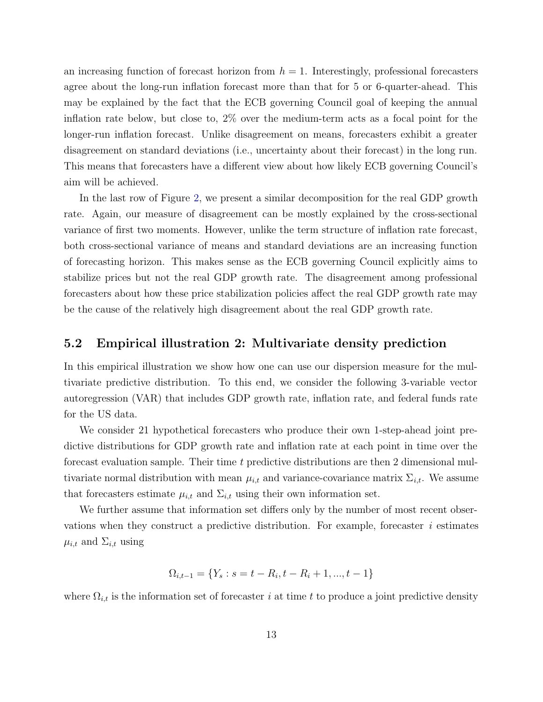an increasing function of forecast horizon from  $h = 1$ . Interestingly, professional forecasters agree about the long-run inflation forecast more than that for 5 or 6-quarter-ahead. This may be explained by the fact that the ECB governing Council goal of keeping the annual inflation rate below, but close to, 2% over the medium-term acts as a focal point for the longer-run inflation forecast. Unlike disagreement on means, forecasters exhibit a greater disagreement on standard deviations (i.e., uncertainty about their forecast) in the long run. This means that forecasters have a different view about how likely ECB governing Council's aim will be achieved.

In the last row of Figure [2](#page-11-0), we present a similar decomposition for the real GDP growth rate. Again, our measure of disagreement can be mostly explained by the cross-sectional variance of first two moments. However, unlike the term structure of inflation rate forecast, both cross-sectional variance of means and standard deviations are an increasing function of forecasting horizon. This makes sense as the ECB governing Council explicitly aims to stabilize prices but not the real GDP growth rate. The disagreement among professional forecasters about how these price stabilization policies affect the real GDP growth rate may be the cause of the relatively high disagreement about the real GDP growth rate.

#### 5.2 Empirical illustration 2: Multivariate density prediction

In this empirical illustration we show how one can use our dispersion measure for the multivariate predictive distribution. To this end, we consider the following 3-variable vector autoregression (VAR) that includes GDP growth rate, inflation rate, and federal funds rate for the US data.

We consider 21 hypothetical forecasters who produce their own 1-step-ahead joint predictive distributions for GDP growth rate and inflation rate at each point in time over the forecast evaluation sample. Their time t predictive distributions are then 2 dimensional multivariate normal distribution with mean  $\mu_{i,t}$  and variance-covariance matrix  $\Sigma_{i,t}$ . We assume that forecasters estimate  $\mu_{i,t}$  and  $\Sigma_{i,t}$  using their own information set.

We further assume that information set differs only by the number of most recent observations when they construct a predictive distribution. For example, forecaster  $i$  estimates  $\mu_{i,t}$  and  $\Sigma_{i,t}$  using

$$
\Omega_{i,t-1} = \{Y_s : s = t - R_i, t - R_i + 1, ..., t - 1\}
$$

where  $\Omega_{i,t}$  is the information set of forecaster i at time t to produce a joint predictive density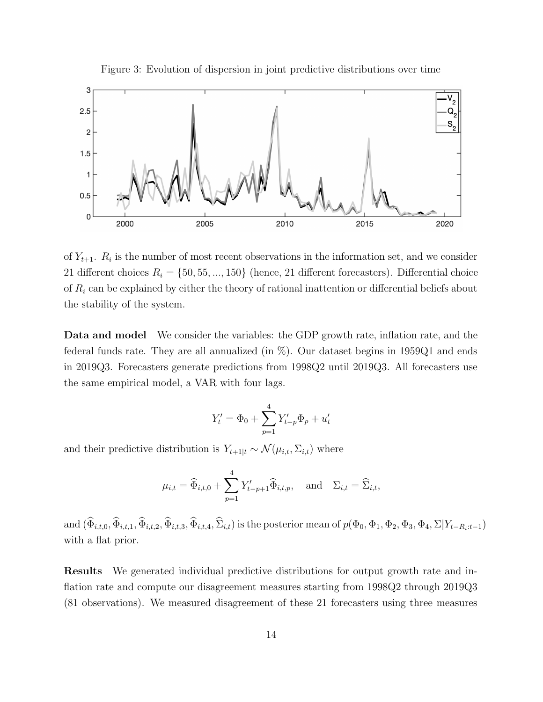

<span id="page-13-0"></span>

of  $Y_{t+1}$ .  $R_i$  is the number of most recent observations in the information set, and we consider 21 different choices  $R_i = \{50, 55, ..., 150\}$  (hence, 21 different forecasters). Differential choice of  $R_i$  can be explained by either the theory of rational inattention or differential beliefs about the stability of the system.

Data and model We consider the variables: the GDP growth rate, inflation rate, and the federal funds rate. They are all annualized (in  $\%$ ). Our dataset begins in 1959Q1 and ends in 2019Q3. Forecasters generate predictions from 1998Q2 until 2019Q3. All forecasters use the same empirical model, a VAR with four lags.

$$
Y'_{t} = \Phi_{0} + \sum_{p=1}^{4} Y'_{t-p} \Phi_{p} + u'_{t}
$$

and their predictive distribution is  $Y_{t+1|t} \sim \mathcal{N}(\mu_{i,t}, \Sigma_{i,t})$  where

$$
\mu_{i,t} = \widehat{\Phi}_{i,t,0} + \sum_{p=1}^4 Y'_{t-p+1} \widehat{\Phi}_{i,t,p}, \text{ and } \Sigma_{i,t} = \widehat{\Sigma}_{i,t},
$$

and  $(\widehat{\Phi}_{i,t,0}, \widehat{\Phi}_{i,t,1}, \widehat{\Phi}_{i,t,2}, \widehat{\Phi}_{i,t,3}, \widehat{\Phi}_{i,t,4}, \widehat{\Sigma}_{i,t})$  is the posterior mean of  $p(\Phi_0, \Phi_1, \Phi_2, \Phi_3, \Phi_4, \Sigma | Y_{t-R_i:t-1})$ with a flat prior.

Results We generated individual predictive distributions for output growth rate and inflation rate and compute our disagreement measures starting from 1998Q2 through 2019Q3 (81 observations). We measured disagreement of these 21 forecasters using three measures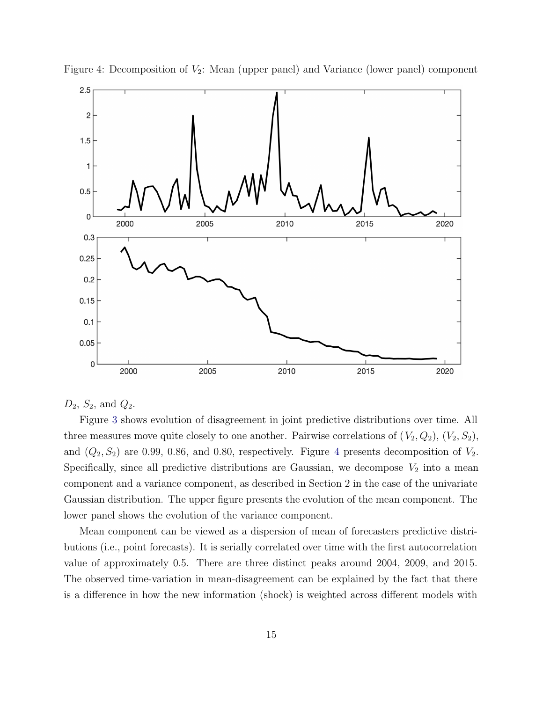

Figure 4: Decomposition of  $V_2$ : Mean (upper panel) and Variance (lower panel) component

 $D_2, S_2, \text{ and } Q_2.$ 

Figure [3](#page-13-0) shows evolution of disagreement in joint predictive distributions over time. All three measures move quite closely to one another. Pairwise correlations of  $(V_2, Q_2), (V_2, S_2),$ and  $(Q_2, S_2)$  are 0.99, 0.86, and 0.80, respectively. Figure 4 presents decomposition of  $V_2$ . Specifically, since all predictive distributions are Gaussian, we decompose  $V_2$  into a mean component and a variance component, as described in Section 2 in the case of the univariate Gaussian distribution. The upper figure presents the evolution of the mean component. The lower panel shows the evolution of the variance component.

Mean component can be viewed as a dispersion of mean of forecasters predictive distributions (i.e., point forecasts). It is serially correlated over time with the first autocorrelation value of approximately 0.5. There are three distinct peaks around 2004, 2009, and 2015. The observed time-variation in mean-disagreement can be explained by the fact that there is a difference in how the new information (shock) is weighted across different models with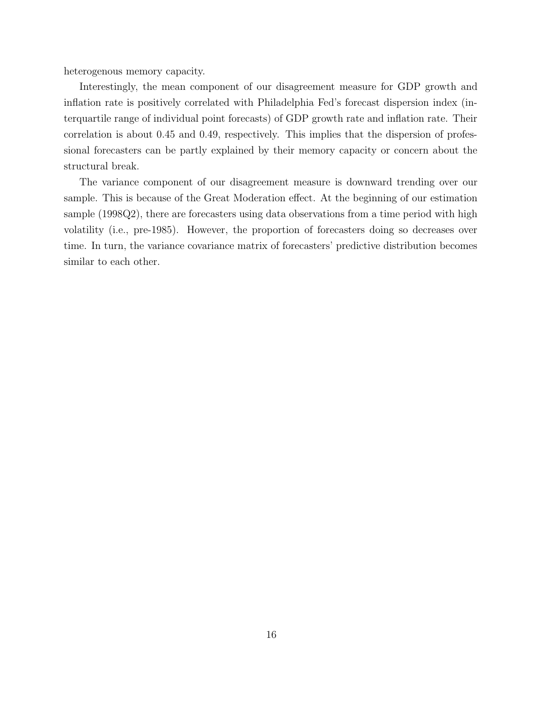heterogenous memory capacity.

Interestingly, the mean component of our disagreement measure for GDP growth and inflation rate is positively correlated with Philadelphia Fed's forecast dispersion index (interquartile range of individual point forecasts) of GDP growth rate and inflation rate. Their correlation is about 0.45 and 0.49, respectively. This implies that the dispersion of professional forecasters can be partly explained by their memory capacity or concern about the structural break.

The variance component of our disagreement measure is downward trending over our sample. This is because of the Great Moderation effect. At the beginning of our estimation sample (1998Q2), there are forecasters using data observations from a time period with high volatility (i.e., pre-1985). However, the proportion of forecasters doing so decreases over time. In turn, the variance covariance matrix of forecasters' predictive distribution becomes similar to each other.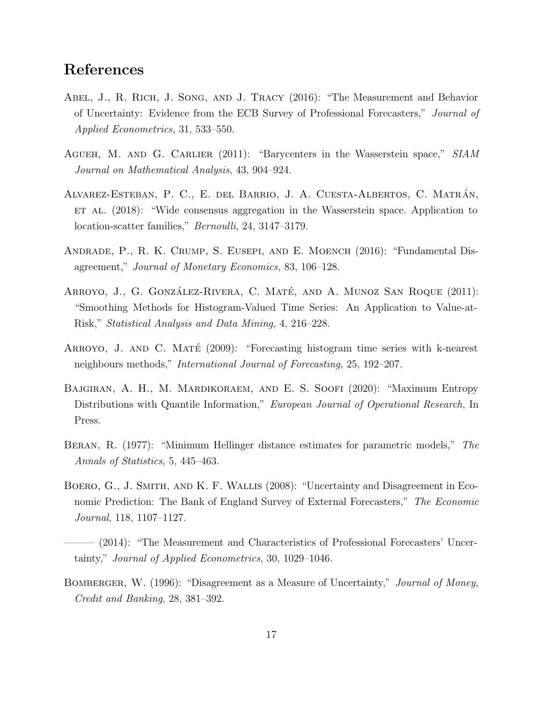### <span id="page-16-0"></span>References

- Abel, J., R. Rich, J. Song, and J. Tracy (2016): "The Measurement and Behavior of Uncertainty: Evidence from the ECB Survey of Professional Forecasters," Journal of Applied Econometrics, 31, 533–550.
- AGUEH, M. AND G. CARLIER (2011): "Barycenters in the Wasserstein space," SIAM Journal on Mathematical Analysis, 43, 904–924.
- ALVAREZ-ESTEBAN, P. C., E. DEL BARRIO, J. A. CUESTA-ALBERTOS, C. MATRÁN, ET AL. (2018): "Wide consensus aggregation in the Wasserstein space. Application to location-scatter families," *Bernoulli*, 24, 3147–3179.
- Andrade, P., R. K. Crump, S. Eusepi, and E. Moench (2016): "Fundamental Disagreement," Journal of Monetary Economics, 83, 106–128.
- ARROYO, J., G. GONZÁLEZ-RIVERA, C. MATÉ, AND A. MUNOZ SAN ROQUE (2011): "Smoothing Methods for Histogram-Valued Time Series: An Application to Value-at-Risk," Statistical Analysis and Data Mining, 4, 216–228.
- ARROYO, J. AND C. MATÉ  $(2009)$ : "Forecasting histogram time series with k-nearest neighbours methods," International Journal of Forecasting, 25, 192–207.
- Bajgiran, A. H., M. Mardikoraem, and E. S. Soofi (2020): "Maximum Entropy Distributions with Quantile Information," European Journal of Operational Research, In Press.
- Beran, R. (1977): "Minimum Hellinger distance estimates for parametric models," The Annals of Statistics, 5, 445–463.
- BOERO, G., J. SMITH, AND K. F. WALLIS (2008): "Uncertainty and Disagreement in Economic Prediction: The Bank of England Survey of External Forecasters," The Economic Journal, 118, 1107–1127.
- ——— (2014): "The Measurement and Characteristics of Professional Forecasters' Uncertainty," Journal of Applied Econometrics, 30, 1029–1046.
- BOMBERGER, W. (1996): "Disagreement as a Measure of Uncertainty," *Journal of Money*, Credit and Banking, 28, 381–392.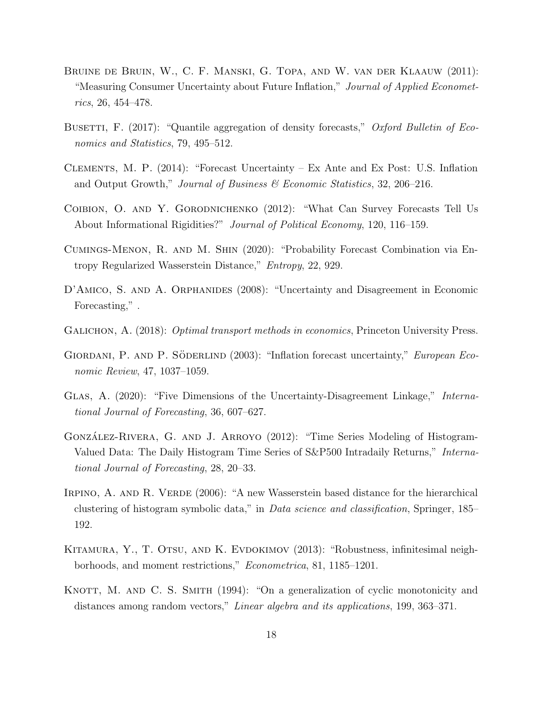- <span id="page-17-0"></span>Bruine de Bruin, W., C. F. Manski, G. Topa, and W. van der Klaauw (2011): "Measuring Consumer Uncertainty about Future Inflation," Journal of Applied Econometrics, 26, 454–478.
- BUSETTI, F. (2017): "Quantile aggregation of density forecasts," Oxford Bulletin of Economics and Statistics, 79, 495–512.
- Clements, M. P. (2014): "Forecast Uncertainty Ex Ante and Ex Post: U.S. Inflation and Output Growth," Journal of Business  $\mathcal C$  Economic Statistics, 32, 206–216.
- Coibion, O. and Y. Gorodnichenko (2012): "What Can Survey Forecasts Tell Us About Informational Rigidities?" Journal of Political Economy, 120, 116–159.
- Cumings-Menon, R. and M. Shin (2020): "Probability Forecast Combination via Entropy Regularized Wasserstein Distance," Entropy, 22, 929.
- D'AMICO, S. AND A. ORPHANIDES (2008): "Uncertainty and Disagreement in Economic Forecasting,".
- GALICHON, A. (2018): *Optimal transport methods in economics*, Princeton University Press.
- GIORDANI, P. AND P. SÖDERLIND (2003): "Inflation forecast uncertainty," European Economic Review, 47, 1037–1059.
- Glas, A. (2020): "Five Dimensions of the Uncertainty-Disagreement Linkage," International Journal of Forecasting, 36, 607–627.
- GONZÁLEZ-RIVERA, G. AND J. ARROYO (2012): "Time Series Modeling of Histogram-Valued Data: The Daily Histogram Time Series of S&P500 Intradaily Returns," International Journal of Forecasting, 28, 20–33.
- IRPINO, A. AND R. VERDE (2006): "A new Wasserstein based distance for the hierarchical clustering of histogram symbolic data," in Data science and classification, Springer, 185– 192.
- KITAMURA, Y., T. OTSU, AND K. EVDOKIMOV (2013): "Robustness, infinitesimal neighborhoods, and moment restrictions," Econometrica, 81, 1185–1201.
- KNOTT, M. AND C. S. SMITH (1994): "On a generalization of cyclic monotonicity and distances among random vectors," Linear algebra and its applications, 199, 363–371.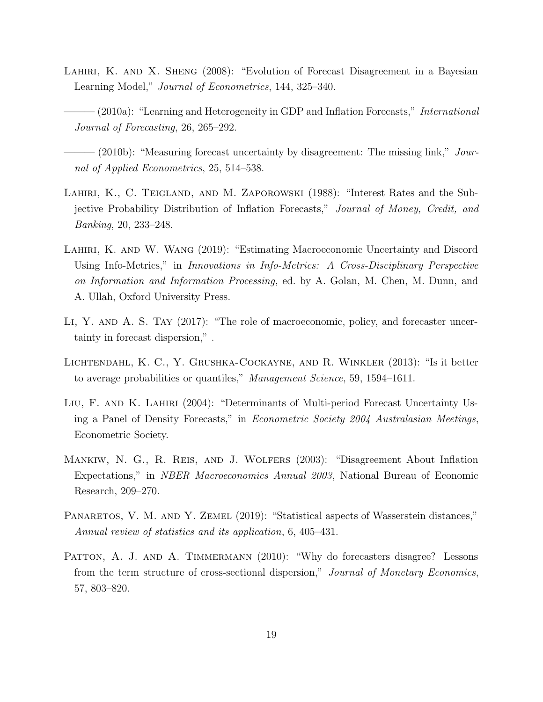- <span id="page-18-0"></span>LAHIRI, K. AND X. SHENG (2008): "Evolution of Forecast Disagreement in a Bayesian Learning Model," Journal of Econometrics, 144, 325–340.
- $-(2010a)$ : "Learning and Heterogeneity in GDP and Inflation Forecasts," *International* Journal of Forecasting, 26, 265–292.
- $(2010b)$ : "Measuring forecast uncertainty by disagreement: The missing link," Journal of Applied Econometrics, 25, 514–538.
- LAHIRI, K., C. TEIGLAND, AND M. ZAPOROWSKI (1988): "Interest Rates and the Subjective Probability Distribution of Inflation Forecasts," Journal of Money, Credit, and Banking, 20, 233–248.
- Lahiri, K. and W. Wang (2019): "Estimating Macroeconomic Uncertainty and Discord Using Info-Metrics," in Innovations in Info-Metrics: A Cross-Disciplinary Perspective on Information and Information Processing, ed. by A. Golan, M. Chen, M. Dunn, and A. Ullah, Oxford University Press.
- Li, Y. and A. S. Tay (2017): "The role of macroeconomic, policy, and forecaster uncertainty in forecast dispersion," .
- Lichtendahl, K. C., Y. Grushka-Cockayne, and R. Winkler (2013): "Is it better to average probabilities or quantiles," Management Science, 59, 1594–1611.
- Liu, F. and K. Lahiri (2004): "Determinants of Multi-period Forecast Uncertainty Using a Panel of Density Forecasts," in Econometric Society 2004 Australasian Meetings, Econometric Society.
- Mankiw, N. G., R. Reis, and J. Wolfers (2003): "Disagreement About Inflation Expectations," in NBER Macroeconomics Annual 2003, National Bureau of Economic Research, 209–270.
- PANARETOS, V. M. AND Y. ZEMEL (2019): "Statistical aspects of Wasserstein distances," Annual review of statistics and its application, 6, 405–431.
- PATTON, A. J. AND A. TIMMERMANN (2010): "Why do forecasters disagree? Lessons from the term structure of cross-sectional dispersion," Journal of Monetary Economics, 57, 803–820.